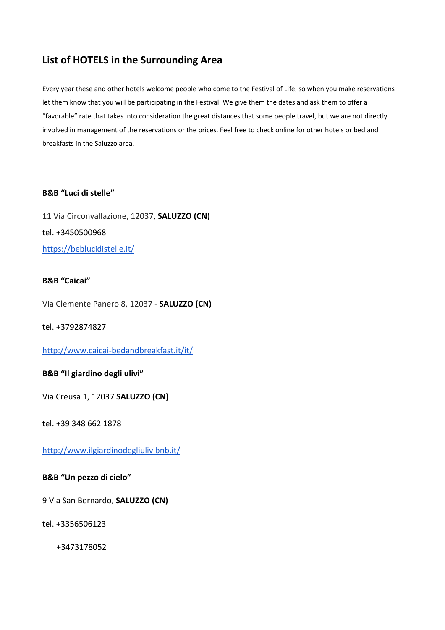# **List of HOTELS in the Surrounding Area**

Every year these and other hotels welcome people who come to the Festival of Life, so when you make reservations let them know that you will be participating in the Festival. We give them the dates and ask them to offer a "favorable" rate that takes into consideration the great distances that some people travel, but we are not directly involved in management of the reservations or the prices. Feel free to check online for other hotels or bed and breakfasts in the Saluzzo area.

## **B&B "Luci di stelle"**

11 Via Circonvallazione, 12037, **SALUZZO (CN)** tel. +3450500968 https://beblucidistelle.it/

## **B&B "Caicai"**

Via Clemente Panero 8, 12037 - **SALUZZO (CN)**

tel. +3792874827

### http://www.caicai-bedandbreakfast.it/it/

# **B&B "Il giardino degli ulivi"**

Via Creusa 1, 12037 **SALUZZO (CN)** 

tel. +39 348 662 1878

http://www.ilgiardinodegliulivibnb.it/

### **B&B "Un pezzo di cielo"**

9 Via San Bernardo, **SALUZZO (CN)**

tel. +3356506123

+3473178052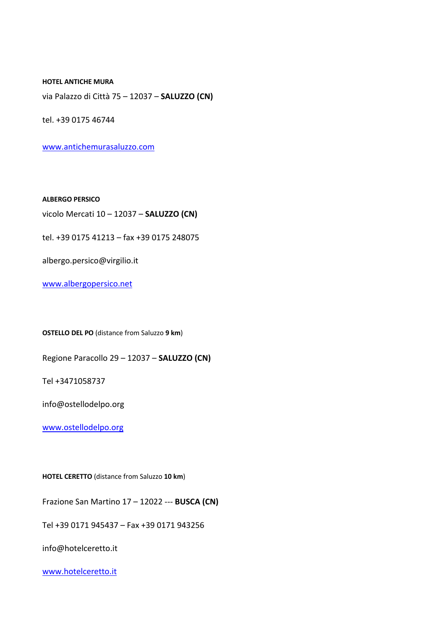**HOTEL ANTICHE MURA**

via Palazzo di Città 75 – 12037 – **SALUZZO (CN)**

tel. +39 0175 46744

www.antichemurasaluzzo.com

**ALBERGO PERSICO**

vicolo Mercati 10 – 12037 – **SALUZZO (CN)**

tel. +39 0175 41213 – fax +39 0175 248075

albergo.persico@virgilio.it

www.albergopersico.net

**OSTELLO DEL PO** (distance from Saluzzo **9 km**)

Regione Paracollo 29 – 12037 – **SALUZZO (CN)**

Tel +3471058737

info@ostellodelpo.org

www.ostellodelpo.org

**HOTEL CERETTO** (distance from Saluzzo **10 km**)

Frazione San Martino 17 – 12022 --- **BUSCA (CN)**

Tel +39 0171 945437 – Fax +39 0171 943256

info@hotelceretto.it

www.hotelceretto.it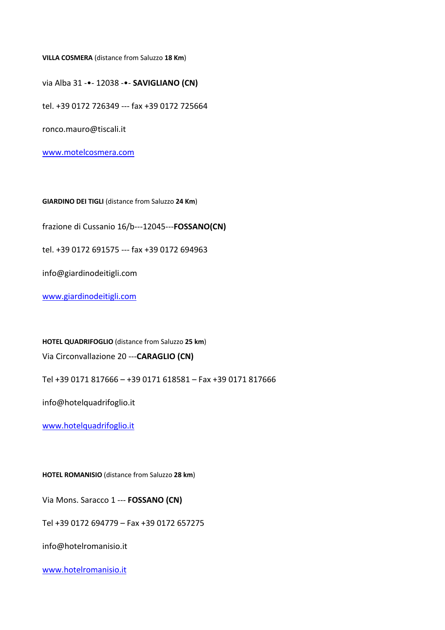**VILLA COSMERA** (distance from Saluzzo **18 Km**)

via Alba 31 -•- 12038 -•- **SAVIGLIANO (CN)**

tel. +39 0172 726349 --- fax +39 0172 725664

ronco.mauro@tiscali.it

www.motelcosmera.com

**GIARDINO DEI TIGLI** (distance from Saluzzo **24 Km**)

frazione di Cussanio 16/b---12045---**FOSSANO(CN)**

tel. +39 0172 691575 --- fax +39 0172 694963

info@giardinodeitigli.com

www.giardinodeitigli.com

**HOTEL QUADRIFOGLIO** (distance from Saluzzo **25 km**)

Via Circonvallazione 20 ---**CARAGLIO (CN)**

Tel +39 0171 817666 – +39 0171 618581 – Fax +39 0171 817666

info@hotelquadrifoglio.it

www.hotelquadrifoglio.it

**HOTEL ROMANISIO** (distance from Saluzzo **28 km**)

Via Mons. Saracco 1 --- **FOSSANO (CN)**

Tel +39 0172 694779 – Fax +39 0172 657275

info@hotelromanisio.it

www.hotelromanisio.it